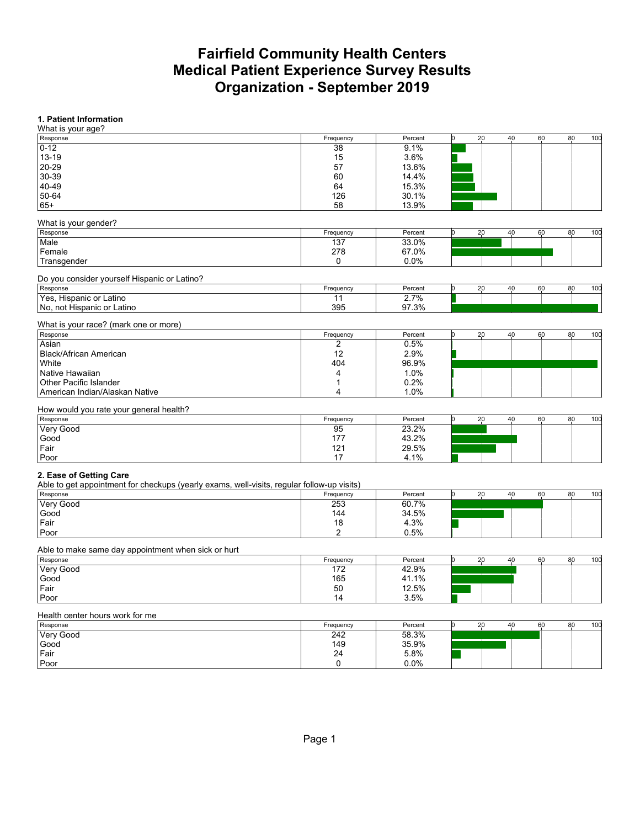#### **1. Patient Information**

| What is your age?                                                                          |                      |         |   |    |    |    |    |     |
|--------------------------------------------------------------------------------------------|----------------------|---------|---|----|----|----|----|-----|
| Response                                                                                   | Frequency            | Percent | b | 20 | 40 | 60 | 80 | 100 |
| $0 - 12$                                                                                   | $\overline{38}$      | 9.1%    |   |    |    |    |    |     |
| 13-19                                                                                      | 15                   | 3.6%    |   |    |    |    |    |     |
| $20 - 29$                                                                                  | 57                   | 13.6%   |   |    |    |    |    |     |
| 30-39                                                                                      | 60                   | 14.4%   |   |    |    |    |    |     |
| 40-49                                                                                      | 64                   | 15.3%   |   |    |    |    |    |     |
| 50-64                                                                                      | 126                  | 30.1%   |   |    |    |    |    |     |
| $65+$                                                                                      | 58                   | 13.9%   |   |    |    |    |    |     |
|                                                                                            |                      |         |   |    |    |    |    |     |
| What is your gender?                                                                       |                      |         |   |    |    |    |    |     |
| Response                                                                                   | Frequency            | Percent | b | 20 | 40 | 60 | 80 | 100 |
| Male                                                                                       | 137                  | 33.0%   |   |    |    |    |    |     |
| Female                                                                                     | 278                  | 67.0%   |   |    |    |    |    |     |
| Transgender                                                                                | $\Omega$             | 0.0%    |   |    |    |    |    |     |
|                                                                                            |                      |         |   |    |    |    |    |     |
| Do you consider yourself Hispanic or Latino?                                               |                      |         |   |    |    |    |    |     |
| Response                                                                                   | Frequency            | Percent | Ю | 20 | 40 | 60 | 80 | 100 |
| Yes, Hispanic or Latino                                                                    | 11                   | 2.7%    |   |    |    |    |    |     |
| No, not Hispanic or Latino                                                                 | 395                  | 97.3%   |   |    |    |    |    |     |
|                                                                                            |                      |         |   |    |    |    |    |     |
| What is your race? (mark one or more)                                                      |                      |         |   |    |    |    |    |     |
| Response                                                                                   | Frequency            | Percent |   | 20 | 40 | 60 | 80 | 100 |
| Asian                                                                                      | $\overline{2}$       | 0.5%    |   |    |    |    |    |     |
| <b>Black/African American</b>                                                              | 12                   | 2.9%    |   |    |    |    |    |     |
| White                                                                                      | 404                  | 96.9%   |   |    |    |    |    |     |
| Native Hawaiian                                                                            | 4                    | 1.0%    |   |    |    |    |    |     |
| <b>Other Pacific Islander</b>                                                              | 1                    | 0.2%    |   |    |    |    |    |     |
| American Indian/Alaskan Native                                                             | 4                    | 1.0%    |   |    |    |    |    |     |
|                                                                                            |                      |         |   |    |    |    |    |     |
| How would you rate your general health?<br>Response                                        | Frequency            | Percent | b | 20 | 40 | 60 | 80 | 100 |
| Very Good                                                                                  | 95                   | 23.2%   |   |    |    |    |    |     |
|                                                                                            |                      |         |   |    |    |    |    |     |
| Good                                                                                       | 177                  | 43.2%   |   |    |    |    |    |     |
| Fair                                                                                       | 121                  | 29.5%   |   |    |    |    |    |     |
| Poor                                                                                       | 17                   | 4.1%    |   |    |    |    |    |     |
| 2. Ease of Getting Care                                                                    |                      |         |   |    |    |    |    |     |
| Able to get appointment for checkups (yearly exams, well-visits, regular follow-up visits) |                      |         |   |    |    |    |    |     |
| Response                                                                                   | Frequency            | Percent | b | 20 | 40 | 60 | 80 | 100 |
| Very Good                                                                                  | 253                  | 60.7%   |   |    |    |    |    |     |
| Good                                                                                       | 144                  | 34.5%   |   |    |    |    |    |     |
| Fair                                                                                       |                      |         |   |    |    |    |    |     |
|                                                                                            | 18<br>$\overline{c}$ | 4.3%    |   |    |    |    |    |     |
| Poor                                                                                       |                      | 0.5%    |   |    |    |    |    |     |
| Able to make same day appointment when sick or hurt                                        |                      |         |   |    |    |    |    |     |
| Response                                                                                   | Frequency            | Percent | b | 20 | 40 | 60 | 80 | 100 |
| Very Good                                                                                  | 172                  | 42.9%   |   |    |    |    |    |     |
| Good                                                                                       | 165                  | 41.1%   |   |    |    |    |    |     |
| Fair                                                                                       | 50                   | 12.5%   |   |    |    |    |    |     |
| Poor                                                                                       | 14                   | 3.5%    |   |    |    |    |    |     |
|                                                                                            |                      |         |   |    |    |    |    |     |
| Health center hours work for me                                                            |                      |         |   |    |    |    |    |     |
| Response                                                                                   | Frequency            | Percent | b | 20 | 40 | 60 | 80 | 100 |

| .         | <b>TRANSPORT</b> | .     | ∼ | -- | <u>vv</u> | <u>vv</u> |  |
|-----------|------------------|-------|---|----|-----------|-----------|--|
| Very Good | 242              | 58.3% |   |    |           |           |  |
| Good      | 149              | 35.9% |   |    |           |           |  |
| Fair      | 24               | 5.8%  |   |    |           |           |  |
| Poor      |                  | 0.0%  |   |    |           |           |  |
|           |                  |       |   |    |           |           |  |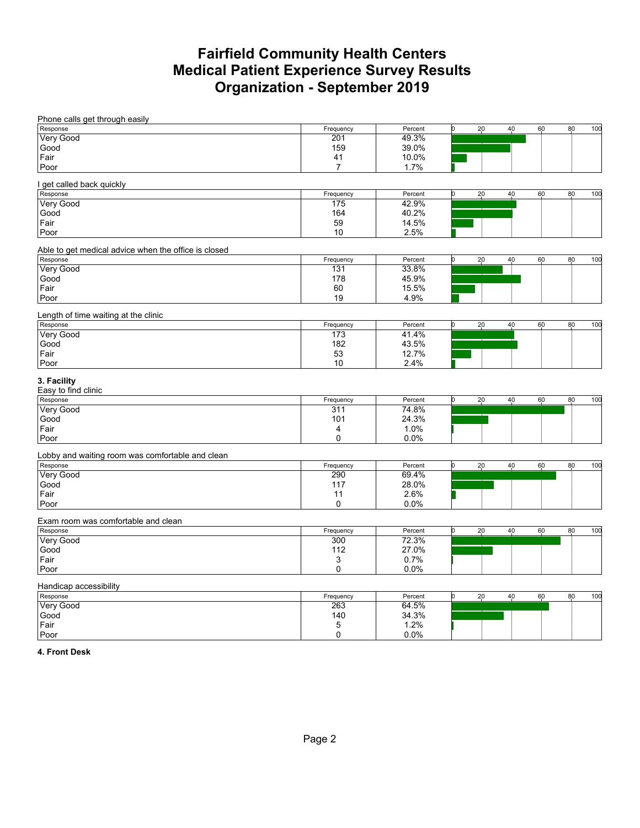| Phone calls get through easily                       |                  |         |         |    |    |    |     |
|------------------------------------------------------|------------------|---------|---------|----|----|----|-----|
| Response                                             | Frequency        | Percent | 20<br>h | 40 | 60 | 80 | 100 |
| Very Good                                            | $\overline{201}$ | 49.3%   |         |    |    |    |     |
| Good                                                 | 159              | 39.0%   |         |    |    |    |     |
| Fair                                                 | 41               | 10.0%   |         |    |    |    |     |
| Poor                                                 | $\overline{7}$   | 1.7%    |         |    |    |    |     |
| I get called back quickly                            |                  |         |         |    |    |    |     |
| Response                                             | Frequency        | Percent | 20      | 40 | 60 | 80 | 100 |
| Very Good                                            | 175              | 42.9%   |         |    |    |    |     |
| Good                                                 | 164              | 40.2%   |         |    |    |    |     |
| Fair                                                 | 59               | 14.5%   |         |    |    |    |     |
| Poor                                                 | 10               | 2.5%    |         |    |    |    |     |
| Able to get medical advice when the office is closed |                  |         |         |    |    |    |     |
| Response                                             | Frequency        | Percent | 20<br>h | 40 | 60 | 80 | 100 |
| Very Good                                            | 131              | 33.8%   |         |    |    |    |     |
| Good                                                 | 178              | 45.9%   |         |    |    |    |     |
| Fair                                                 | 60               | 15.5%   |         |    |    |    |     |
| Poor                                                 | 19               | 4.9%    |         |    |    |    |     |
| Length of time waiting at the clinic                 |                  |         |         |    |    |    |     |
| Response                                             | Frequency        | Percent | 20      | 40 | 60 | 80 | 100 |
| Very Good                                            | 173              | 41.4%   |         |    |    |    |     |
| Good                                                 | 182              | 43.5%   |         |    |    |    |     |
| Fair                                                 | 53               | 12.7%   |         |    |    |    |     |
| Poor                                                 | 10               | 2.4%    |         |    |    |    |     |
| 3. Facility                                          |                  |         |         |    |    |    |     |
| Easy to find clinic                                  |                  |         |         |    |    |    |     |
| Response                                             | Frequency        | Percent | 20<br>b | 40 | 60 | 80 | 100 |
| Very Good                                            | 311              | 74.8%   |         |    |    |    |     |
| Good                                                 | 101              | 24.3%   |         |    |    |    |     |
| Fair                                                 | 4                | 1.0%    |         |    |    |    |     |
| Poor                                                 | 0                | 0.0%    |         |    |    |    |     |
| Lobby and waiting room was comfortable and clean     |                  |         |         |    |    |    |     |
| Response                                             | Frequency        | Percent | 20      | 40 | 60 | 80 | 100 |
| Very Good                                            | 290              | 69.4%   |         |    |    |    |     |
| Good                                                 | 117              | 28.0%   |         |    |    |    |     |
| Fair                                                 | 11               | 2.6%    |         |    |    |    |     |
| Poor                                                 | $\mathbf 0$      | 0.0%    |         |    |    |    |     |
| Exam room was comfortable and clean                  |                  |         |         |    |    |    |     |
| Response                                             | Frequency        | Percent | 20<br>b | 40 | 60 | 80 | 100 |
| Very Good                                            | 300              | 72.3%   |         |    |    |    |     |
| Good                                                 | 112              | 27.0%   |         |    |    |    |     |
| Fair                                                 | 3                | 0.7%    |         |    |    |    |     |
| Poor                                                 | $\Omega$         | 0.0%    |         |    |    |    |     |
| Handicap accessibility                               |                  |         |         |    |    |    |     |
| Response                                             | Frequency        | Percent | 20      | 40 | 60 | 80 | 100 |
| Very Good                                            | 263              | 64.5%   |         |    |    |    |     |
| Good                                                 | 140              | 34.3%   |         |    |    |    |     |

**4. Front Desk**

Fair 5 1.2% Poor 0 0.0%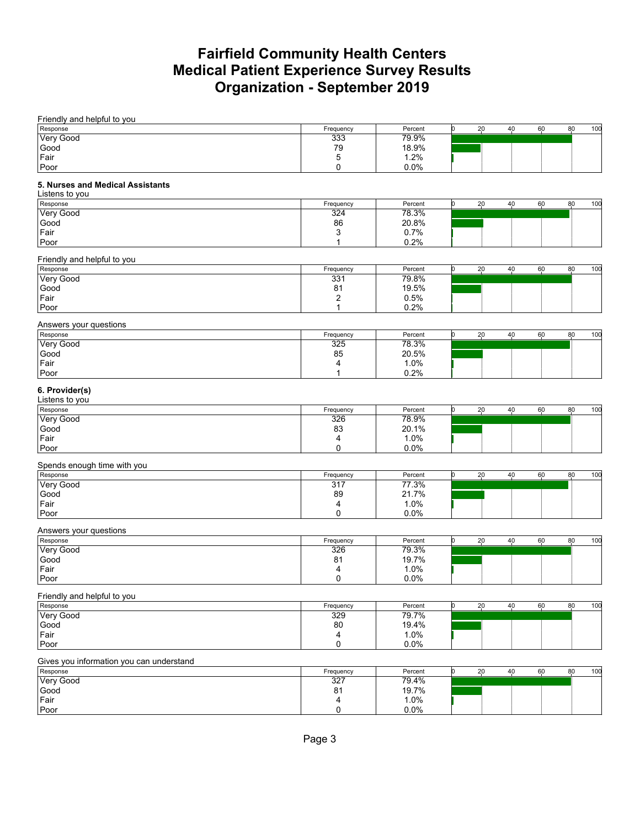| Friendly and helpful to you              |                  |         |     |    |    |    |    |     |
|------------------------------------------|------------------|---------|-----|----|----|----|----|-----|
| Response                                 | Frequency        | Percent | b   | 20 | 40 | 60 | 80 | 100 |
| Very Good                                | 333              | 79.9%   |     |    |    |    |    |     |
| Good                                     | 79               | 18.9%   |     |    |    |    |    |     |
| Fair                                     | 5                | 1.2%    |     |    |    |    |    |     |
| Poor                                     | 0                | 0.0%    |     |    |    |    |    |     |
| 5. Nurses and Medical Assistants         |                  |         |     |    |    |    |    |     |
| Listens to you                           |                  |         |     |    |    |    |    |     |
| Response                                 | Frequency        | Percent | b   | 20 | 40 | 60 | 80 | 100 |
| Very Good                                | 324              | 78.3%   |     |    |    |    |    |     |
| Good                                     | 86               | 20.8%   |     |    |    |    |    |     |
| Fair                                     | 3                | 0.7%    |     |    |    |    |    |     |
| Poor                                     | 1                | 0.2%    |     |    |    |    |    |     |
| Friendly and helpful to you              |                  |         |     |    |    |    |    |     |
| Response                                 | Frequency        | Percent | Ю   | 20 | 40 | 60 | 80 | 100 |
| Very Good                                | 331              | 79.8%   |     |    |    |    |    |     |
| Good                                     | 81               | 19.5%   |     |    |    |    |    |     |
| Fair                                     | $\overline{c}$   | 0.5%    |     |    |    |    |    |     |
| Poor                                     | 1                | 0.2%    |     |    |    |    |    |     |
|                                          |                  |         |     |    |    |    |    |     |
| Answers your questions                   |                  |         |     |    |    |    |    |     |
| Response                                 | Frequency        | Percent | lo. | 20 | 40 | 60 | 80 | 100 |
| Very Good                                | 325              | 78.3%   |     |    |    |    |    |     |
| Good                                     | 85               | 20.5%   |     |    |    |    |    |     |
| Fair                                     | 4                | 1.0%    |     |    |    |    |    |     |
| Poor                                     | 1                | 0.2%    |     |    |    |    |    |     |
| 6. Provider(s)                           |                  |         |     |    |    |    |    |     |
| Listens to you                           |                  |         |     |    |    |    |    |     |
| Response                                 | Frequency        | Percent | b   | 20 | 40 | 60 | 80 | 100 |
| Very Good                                | 326              | 78.9%   |     |    |    |    |    |     |
| Good                                     | 83               | 20.1%   |     |    |    |    |    |     |
| Fair                                     | 4                | 1.0%    |     |    |    |    |    |     |
| Poor                                     | 0                | 0.0%    |     |    |    |    |    |     |
| Spends enough time with you              |                  |         |     |    |    |    |    |     |
| Response                                 | Frequency        | Percent |     | 20 | 40 | 60 | 80 | 100 |
| Very Good                                | 317              | 77.3%   |     |    |    |    |    |     |
| Good                                     | 89               | 21.7%   |     |    |    |    |    |     |
| Fair                                     | 4                | 1.0%    |     |    |    |    |    |     |
| Poor                                     | 0                | 0.0%    |     |    |    |    |    |     |
|                                          |                  |         |     |    |    |    |    |     |
| Answers your questions                   |                  |         |     |    |    |    |    |     |
| Response                                 | Frequency        | Percent | Ю   | 20 | 40 | 60 | 80 | 100 |
| Very Good                                | 326              | 79.3%   |     |    |    |    |    |     |
| Good                                     | 81               | 19.7%   |     |    |    |    |    |     |
| Fair                                     | 4                | 1.0%    |     |    |    |    |    |     |
| Poor                                     | 0                | 0.0%    |     |    |    |    |    |     |
| Friendly and helpful to you              |                  |         |     |    |    |    |    |     |
| Response                                 | Frequency        | Percent | Ю   | 20 | 40 | 60 | 80 | 100 |
| Very Good                                | 329              | 79.7%   |     |    |    |    |    |     |
| Good                                     | 80               | 19.4%   |     |    |    |    |    |     |
| Fair                                     |                  | 1.0%    |     |    |    |    |    |     |
|                                          | 4                |         |     |    |    |    |    |     |
| Poor                                     | 0                | 0.0%    |     |    |    |    |    |     |
| Gives you information you can understand |                  |         |     |    |    |    |    |     |
| Response                                 | Frequency        | Percent |     | 20 | 40 | 60 | 80 | 100 |
| Very Good                                | $\overline{327}$ | 79.4%   |     |    |    |    |    |     |
| Good                                     | 81               | 19.7%   |     |    |    |    |    |     |

Fair 4 1.0% Poor 0.0%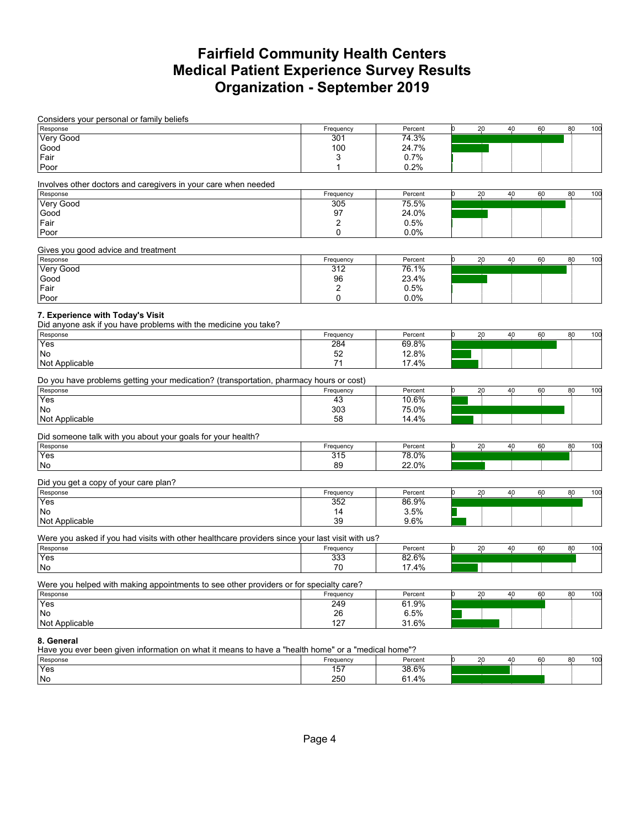| Considers your personal or family beliefs                                                           |           |         |   |    |    |    |    |     |
|-----------------------------------------------------------------------------------------------------|-----------|---------|---|----|----|----|----|-----|
| Response                                                                                            | Frequency | Percent | h | 20 | 40 | 60 | 80 | 100 |
| Very Good                                                                                           | 301       | 74.3%   |   |    |    |    |    |     |
| Good                                                                                                | 100       | 24.7%   |   |    |    |    |    |     |
| Fair                                                                                                | 3         | 0.7%    |   |    |    |    |    |     |
| Poor                                                                                                | 1         | 0.2%    |   |    |    |    |    |     |
| Involves other doctors and caregivers in your care when needed                                      |           |         |   |    |    |    |    |     |
| Response                                                                                            | Frequency | Percent |   | 20 | 40 | 60 | 80 | 100 |
| Very Good                                                                                           | 305       | 75.5%   |   |    |    |    |    |     |
| Good                                                                                                | 97        | 24.0%   |   |    |    |    |    |     |
| Fair                                                                                                | 2         | 0.5%    |   |    |    |    |    |     |
| Poor                                                                                                | 0         | 0.0%    |   |    |    |    |    |     |
| Gives you good advice and treatment                                                                 |           |         |   |    |    |    |    |     |
| Response                                                                                            | Frequency | Percent |   | 20 | 40 | 60 | 80 | 100 |
| Very Good                                                                                           | 312       | 76.1%   |   |    |    |    |    |     |
| Good                                                                                                | 96        | 23.4%   |   |    |    |    |    |     |
| Fair                                                                                                | 2         | 0.5%    |   |    |    |    |    |     |
| Poor                                                                                                | 0         | 0.0%    |   |    |    |    |    |     |
|                                                                                                     |           |         |   |    |    |    |    |     |
| 7. Experience with Today's Visit<br>Did anyone ask if you have problems with the medicine you take? |           |         |   |    |    |    |    |     |
| Response                                                                                            | Frequency | Percent |   | 20 | 40 | 60 | 80 | 100 |
| Yes                                                                                                 | 284       | 69.8%   |   |    |    |    |    |     |
| No                                                                                                  | 52        | 12.8%   |   |    |    |    |    |     |
| Not Applicable                                                                                      | 71        | 17.4%   |   |    |    |    |    |     |
| Do you have problems getting your medication? (transportation, pharmacy hours or cost)              |           |         |   |    |    |    |    |     |
| Response                                                                                            | Frequency | Percent | h | 20 | 40 | 60 | 80 | 100 |
| Yes                                                                                                 | 43        | 10.6%   |   |    |    |    |    |     |
| No                                                                                                  | 303       | 75.0%   |   |    |    |    |    |     |
| Not Applicable                                                                                      | 58        | 14.4%   |   |    |    |    |    |     |
|                                                                                                     |           |         |   |    |    |    |    |     |
| Did someone talk with you about your goals for your health?<br>Response                             | Frequency | Percent |   | 20 | 40 | 60 | 80 | 100 |
| Yes                                                                                                 | 315       | 78.0%   |   |    |    |    |    |     |
| No                                                                                                  | 89        | 22.0%   |   |    |    |    |    |     |
|                                                                                                     |           |         |   |    |    |    |    |     |
| Did you get a copy of your care plan?                                                               |           |         |   |    |    |    |    |     |
| Response                                                                                            | Frequency | Percent | b | 20 | 40 | 60 | 80 | 100 |
| Yes                                                                                                 | 352       | 86.9%   |   |    |    |    |    |     |
| No                                                                                                  | 14<br>39  | 3.5%    |   |    |    |    |    |     |
| Not Applicable                                                                                      |           | 9.6%    |   |    |    |    |    |     |
| Were you asked if you had visits with other healthcare providers since your last visit with us?     |           |         |   |    |    |    |    |     |
| Response                                                                                            | Frequency | Percent |   | 20 | 40 | 60 | 80 | 100 |
| Yes                                                                                                 | 333       | 82.6%   |   |    |    |    |    |     |
| No                                                                                                  | 70        | 17.4%   |   |    |    |    |    |     |
| Were you helped with making appointments to see other providers or for specialty care?              |           |         |   |    |    |    |    |     |
| Response                                                                                            | Frequency | Percent | h | 20 | 40 | 60 | 80 | 100 |
| Yes                                                                                                 | 249       | 61.9%   |   |    |    |    |    |     |
| No                                                                                                  | 26        | 6.5%    |   |    |    |    |    |     |
| Not Applicable                                                                                      | 127       | 31.6%   |   |    |    |    |    |     |
| 8. General                                                                                          |           |         |   |    |    |    |    |     |
| Have you ever been given information on what it means to have a "health home" or a "medical home"?  |           |         |   |    |    |    |    |     |
| Response                                                                                            | Frequency | Percent | b | 20 | 40 | 60 | 80 | 100 |
| Yes                                                                                                 | 157       | 38.6%   |   |    |    |    |    |     |

No 250  $\vert$  61.4%